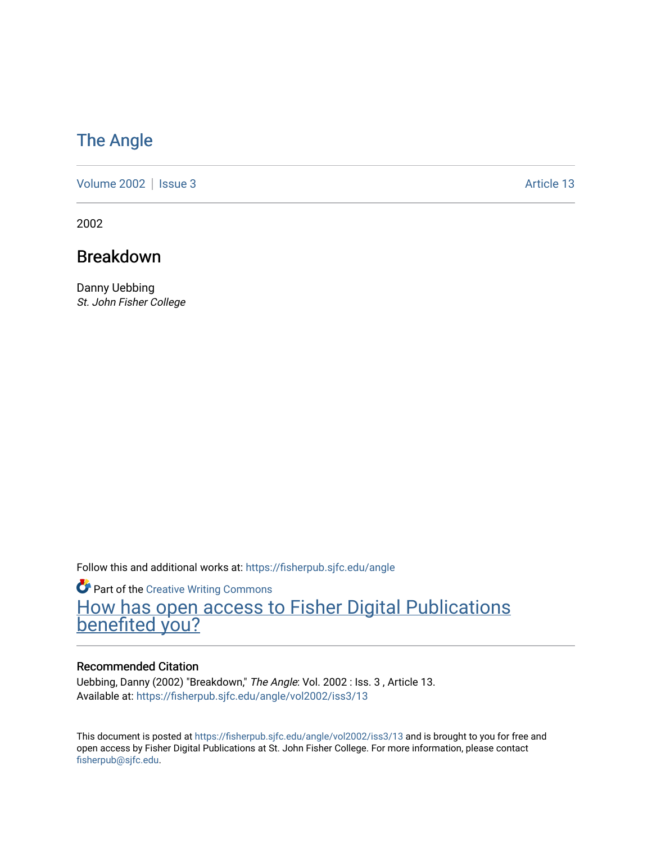# [The Angle](https://fisherpub.sjfc.edu/angle)

[Volume 2002](https://fisherpub.sjfc.edu/angle/vol2002) | [Issue 3](https://fisherpub.sjfc.edu/angle/vol2002/iss3) Article 13

2002

# Breakdown

Danny Uebbing St. John Fisher College

Follow this and additional works at: [https://fisherpub.sjfc.edu/angle](https://fisherpub.sjfc.edu/angle?utm_source=fisherpub.sjfc.edu%2Fangle%2Fvol2002%2Fiss3%2F13&utm_medium=PDF&utm_campaign=PDFCoverPages)

**Part of the Creative Writing Commons** [How has open access to Fisher Digital Publications](https://docs.google.com/forms/d/14zrnDfH9d1wcdq8oG_-gFabAsxfcH5claltx85ZWyTg/viewform?entry.1394608989=https://fisherpub.sjfc.edu/angle/vol2002/iss3/13%3Chttps://docs.google.com/forms/d/14zrnDfH9d1wcdq8oG_-gFabAsxfcH5claltx85ZWyTg/viewform?entry.1394608989=%7bhttps://fisherpub.sjfc.edu/angle/vol2002/iss3/13%7d) [benefited you?](https://docs.google.com/forms/d/14zrnDfH9d1wcdq8oG_-gFabAsxfcH5claltx85ZWyTg/viewform?entry.1394608989=https://fisherpub.sjfc.edu/angle/vol2002/iss3/13%3Chttps://docs.google.com/forms/d/14zrnDfH9d1wcdq8oG_-gFabAsxfcH5claltx85ZWyTg/viewform?entry.1394608989=%7bhttps://fisherpub.sjfc.edu/angle/vol2002/iss3/13%7d)

#### Recommended Citation

Uebbing, Danny (2002) "Breakdown," The Angle: Vol. 2002 : Iss. 3 , Article 13. Available at: [https://fisherpub.sjfc.edu/angle/vol2002/iss3/13](https://fisherpub.sjfc.edu/angle/vol2002/iss3/13?utm_source=fisherpub.sjfc.edu%2Fangle%2Fvol2002%2Fiss3%2F13&utm_medium=PDF&utm_campaign=PDFCoverPages) 

This document is posted at <https://fisherpub.sjfc.edu/angle/vol2002/iss3/13> and is brought to you for free and open access by Fisher Digital Publications at St. John Fisher College. For more information, please contact [fisherpub@sjfc.edu](mailto:fisherpub@sjfc.edu).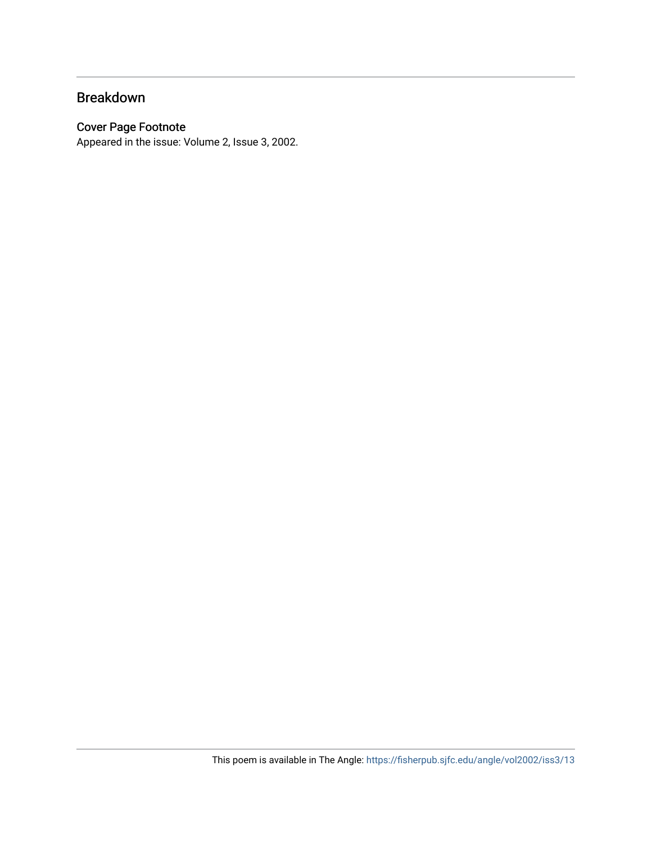#### Breakdown

#### Cover Page Footnote

Appeared in the issue: Volume 2, Issue 3, 2002.